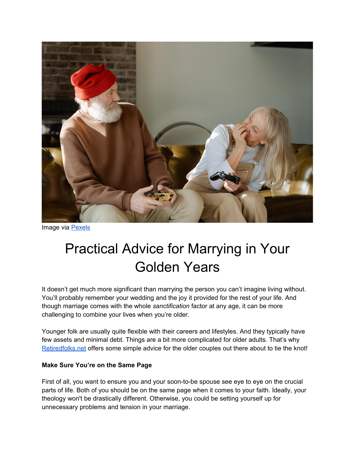

Image via [Pexels](https://www.pexels.com/photo/man-sitting-on-a-sofa-beside-woman-in-white-long-sleeve-shirt-7330921/)

# Practical Advice for Marrying in Your Golden Years

It doesn't get much more significant than marrying the person you can't imagine living without. You'll probably remember your wedding and the joy it provided for the rest of your life. And though marriage comes with the whole *sanctification* factor at any age, it can be more challenging to combine your lives when you're older.

Younger folk are usually quite flexible with their careers and lifestyles. And they typically have few assets and minimal debt. Things are a bit more complicated for older adults. That's why [Retiredfolks.net](http://retiredfolks.net/) offers some simple advice for the older couples out there about to tie the knot!

## **Make Sure You're on the Same Page**

First of all, you want to ensure you and your soon-to-be spouse see eye to eye on the crucial parts of life. Both of you should be on the same page when it comes to your faith. Ideally, your theology won't be drastically different. Otherwise, you could be setting yourself up for unnecessary problems and tension in your marriage.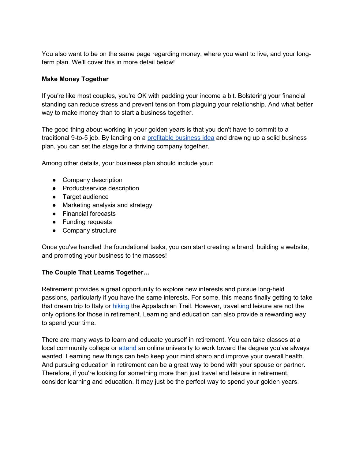You also want to be on the same page regarding money, where you want to live, and your longterm plan. We'll cover this in more detail below!

## **Make Money Together**

If you're like most couples, you're OK with padding your income a bit. Bolstering your financial standing can reduce stress and prevent tension from plaguing your relationship. And what better way to make money than to start a business together.

The good thing about working in your golden years is that you don't have to commit to a traditional 9-to-5 job. By landing on a [profitable business idea](https://www.tatacapital.com/blog/business-loan/10-business-ideas-for-senior-citizens/) and drawing up a solid business plan, you can set the stage for a thriving company together.

Among other details, your business plan should include your:

- Company description
- Product/service description
- Target audience
- Marketing analysis and strategy
- Financial forecasts
- Funding requests
- Company structure

Once you've handled the foundational tasks, you can start creating a brand, building a website, and promoting your business to the masses!

## **The Couple That Learns Together…**

Retirement provides a great opportunity to explore new interests and pursue long-held passions, particularly if you have the same interests. For some, this means finally getting to take that dream trip to Italy or [hiking](https://magazine.byu.edu/article/retired-tired/) the Appalachian Trail. However, travel and leisure are not the only options for those in retirement. Learning and education can also provide a rewarding way to spend your time.

There are many ways to learn and educate yourself in retirement. You can take classes at a local community college or [attend](https://www.phoenix.edu/degrees/masters.html) an online university to work toward the degree you've always wanted. Learning new things can help keep your mind sharp and improve your overall health. And pursuing education in retirement can be a great way to bond with your spouse or partner. Therefore, if you're looking for something more than just travel and leisure in retirement, consider learning and education. It may just be the perfect way to spend your golden years.